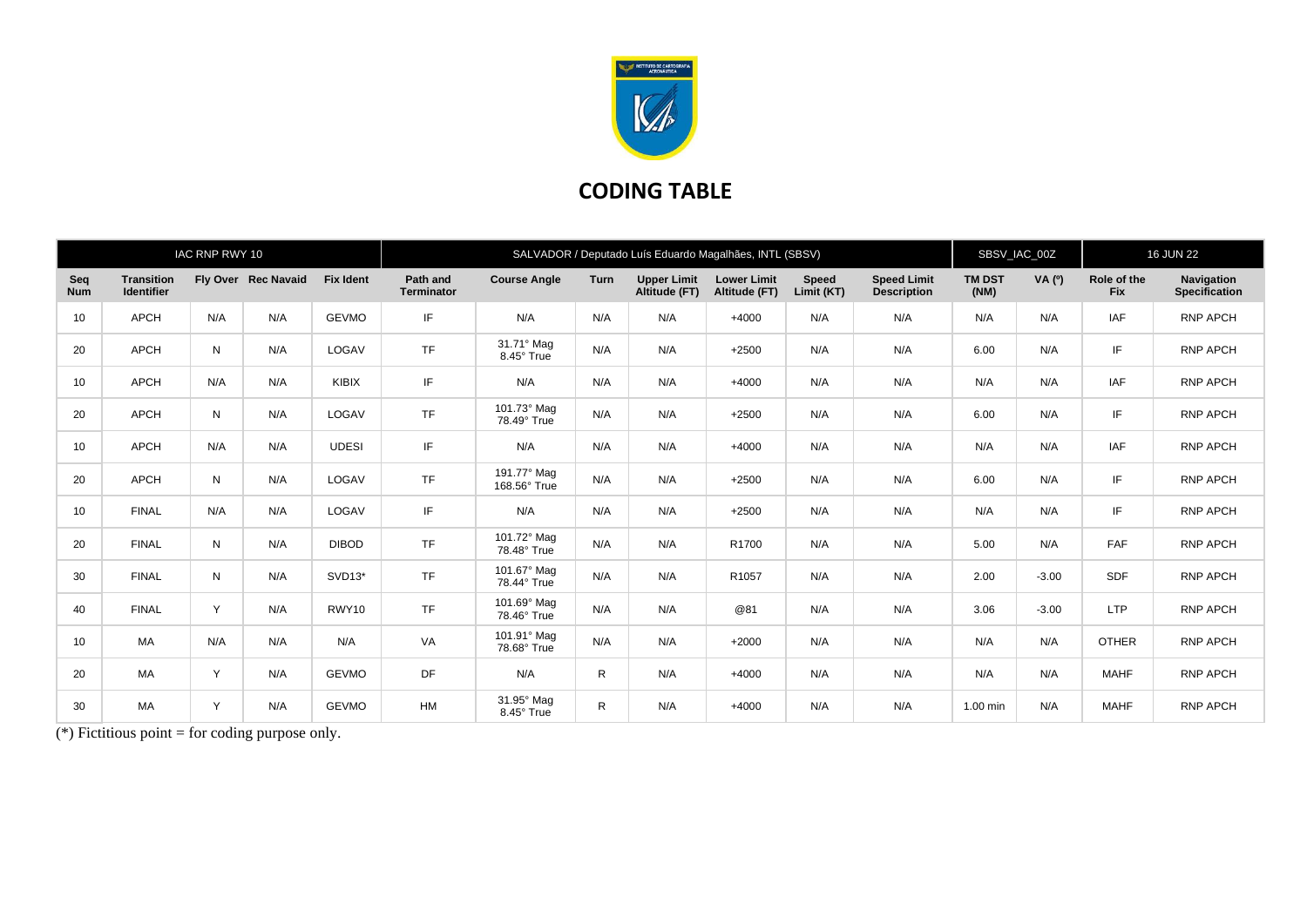

## **CODING TABLE**

|                   |                                        | IAC RNP RWY 10 |                     |                  | SALVADOR / Deputado Luís Eduardo Magalhães, INTL (SBSV) |                             |              |                                     |                                     |                            |                                          |                       | SBSV_IAC_00Z |                           | <b>16 JUN 22</b>                          |  |
|-------------------|----------------------------------------|----------------|---------------------|------------------|---------------------------------------------------------|-----------------------------|--------------|-------------------------------------|-------------------------------------|----------------------------|------------------------------------------|-----------------------|--------------|---------------------------|-------------------------------------------|--|
| Sea<br><b>Num</b> | <b>Transition</b><br><b>Identifier</b> |                | Fly Over Rec Navaid | <b>Fix Ident</b> | Path and<br><b>Terminator</b>                           | <b>Course Angle</b>         | Turn         | <b>Upper Limit</b><br>Altitude (FT) | <b>Lower Limit</b><br>Altitude (FT) | <b>Speed</b><br>Limit (KT) | <b>Speed Limit</b><br><b>Description</b> | <b>TM DST</b><br>(NM) | VA(°)        | Role of the<br><b>Fix</b> | <b>Navigation</b><br><b>Specification</b> |  |
| 10                | <b>APCH</b>                            | N/A            | N/A                 | <b>GEVMO</b>     | IF                                                      | N/A                         | N/A          | N/A                                 | $+4000$                             | N/A                        | N/A                                      | N/A                   | N/A          | <b>IAF</b>                | <b>RNP APCH</b>                           |  |
| 20                | <b>APCH</b>                            | N              | N/A                 | LOGAV            | <b>TF</b>                                               | 31.71° Mag<br>8.45° True    | N/A          | N/A                                 | $+2500$                             | N/A                        | N/A                                      | 6.00                  | N/A          | IF                        | <b>RNP APCH</b>                           |  |
| 10                | <b>APCH</b>                            | N/A            | N/A                 | KIBIX            | IF                                                      | N/A                         | N/A          | N/A                                 | $+4000$                             | N/A                        | N/A                                      | N/A                   | N/A          | <b>IAF</b>                | <b>RNP APCH</b>                           |  |
| 20                | <b>APCH</b>                            | N              | N/A                 | LOGAV            | <b>TF</b>                                               | 101.73° Mag<br>78.49° True  | N/A          | N/A                                 | $+2500$                             | N/A                        | N/A                                      | 6.00                  | N/A          | IF                        | <b>RNP APCH</b>                           |  |
| 10                | <b>APCH</b>                            | N/A            | N/A                 | <b>UDESI</b>     | IF.                                                     | N/A                         | N/A          | N/A                                 | $+4000$                             | N/A                        | N/A                                      | N/A                   | N/A          | <b>IAF</b>                | <b>RNP APCH</b>                           |  |
| 20                | <b>APCH</b>                            | N              | N/A                 | LOGAV            | <b>TF</b>                                               | 191.77° Mag<br>168.56° True | N/A          | N/A                                 | $+2500$                             | N/A                        | N/A                                      | 6.00                  | N/A          | IF                        | <b>RNP APCH</b>                           |  |
| 10                | <b>FINAL</b>                           | N/A            | N/A                 | LOGAV            | IF                                                      | N/A                         | N/A          | N/A                                 | $+2500$                             | N/A                        | N/A                                      | N/A                   | N/A          | IF                        | <b>RNP APCH</b>                           |  |
| 20                | <b>FINAL</b>                           | N              | N/A                 | <b>DIBOD</b>     | <b>TF</b>                                               | 101.72° Mag<br>78.48° True  | N/A          | N/A                                 | R1700                               | N/A                        | N/A                                      | 5.00                  | N/A          | <b>FAF</b>                | <b>RNP APCH</b>                           |  |
| 30                | <b>FINAL</b>                           | N              | N/A                 | $SVD13*$         | <b>TF</b>                                               | 101.67° Mag<br>78.44° True  | N/A          | N/A                                 | R1057                               | N/A                        | N/A                                      | 2.00                  | $-3.00$      | <b>SDF</b>                | <b>RNP APCH</b>                           |  |
| 40                | <b>FINAL</b>                           | Y              | N/A                 | RWY10            | <b>TF</b>                                               | 101.69° Mag<br>78.46° True  | N/A          | N/A                                 | @81                                 | N/A                        | N/A                                      | 3.06                  | $-3.00$      | <b>LTP</b>                | <b>RNP APCH</b>                           |  |
| 10                | MA                                     | N/A            | N/A                 | N/A              | VA                                                      | 101.91° Mag<br>78.68° True  | N/A          | N/A                                 | $+2000$                             | N/A                        | N/A                                      | N/A                   | N/A          | <b>OTHER</b>              | <b>RNP APCH</b>                           |  |
| 20                | <b>MA</b>                              | Y              | N/A                 | <b>GEVMO</b>     | <b>DF</b>                                               | N/A                         | $\mathsf{R}$ | N/A                                 | $+4000$                             | N/A                        | N/A                                      | N/A                   | N/A          | <b>MAHF</b>               | <b>RNP APCH</b>                           |  |
| 30                | <b>MA</b>                              | Y              | N/A                 | <b>GEVMO</b>     | HM                                                      | 31.95° Mag<br>8.45° True    | R            | N/A                                 | $+4000$                             | N/A                        | N/A                                      | 1.00 min              | N/A          | <b>MAHF</b>               | <b>RNP APCH</b>                           |  |

(\*) Fictitious point = for coding purpose only.